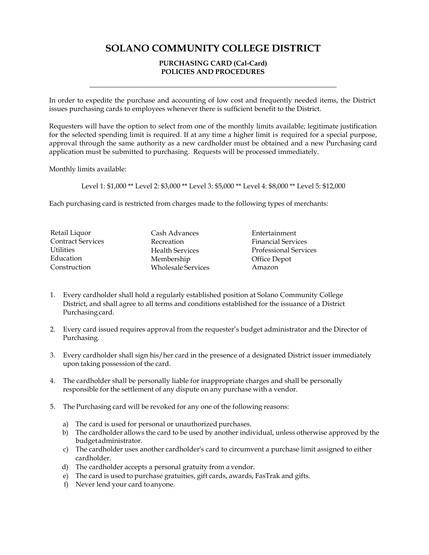## **SOLANO COMMUNITY COLLEGE DISTRICT**

## **PURCHASING CARD (Cal-Card) POLICIES AND PROCEDURES**

In order to expedite the purchase and accounting of low cost and frequently needed items, the District issues purchasing cards to employees whenever there is sufficient benefit to the District.

Requesters will have the option to select from one of the monthly limits available; legitimate justification for the selected spending limit is required. If at any time a higher limit is required for a special purpose, approval through the same authority as a new cardholder must be obtained and a new Purchasing card application must be submitted to purchasing. Requests will be processed immediately.

Monthly limits available:

Level 1: \$1,000 \*\* Level 2: \$3,000 \*\* Level 3: \$5,000 \*\* Level 4: \$8,000 \*\* Level 5: \$12,000

Each purchasing card is restricted from charges made to the following types of merchants:

| Retail Liquor            | Cash Advances             | Entertainment                |
|--------------------------|---------------------------|------------------------------|
| <b>Contract Services</b> | Recreation                | <b>Financial Services</b>    |
| <b>Utilities</b>         | <b>Health Services</b>    | <b>Professional Services</b> |
| Education                | Membership                | Office Depot                 |
| Construction             | <b>Wholesale Services</b> | Amazon                       |

- 1. Every cardholder shall hold a regularly established position at Solano Community College District, and shall agree to all terms and conditions established for the issuance of a District Purchasing card.
- 2. Every card issued requires approval from the requester's budget administrator and the Director of Purchasing.
- 3. Every cardholder shall sign his/her card in the presence of a designated District issuer immediately upon taking possession of the card.
- 4. The cardholder shall be personally liable for inappropriate charges and shall be personally responsible for the settlement of any dispute on any purchase with a vendor.
- 5. The Purchasing card will be revoked for any one of the following reasons:
	- a) The card is used for personal or unauthorized purchases.
	- b) The cardholder allows the card to be used by another individual, unless otherwise approved by the budgetadministrator.
	- c) The cardholder uses another cardholder's card to circumvent a purchase limit assigned to either cardholder.
	- d) The cardholder accepts a personal gratuity from a vendor.
	- e) The card is used to purchase gratuities, gift cards, awards, FasTrak and gifts.
	- f) Never lend your card toanyone.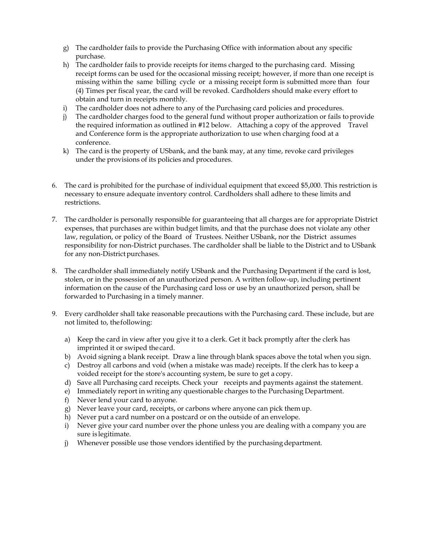- g) The cardholder fails to provide the Purchasing Office with information about any specific purchase.
- h) The cardholder fails to provide receipts for items charged to the purchasing card. Missing receipt forms can be used for the occasional missing receipt; however, if more than one receipt is missing within the same billing cycle or a missing receipt form is submitted more than four (4) Times per fiscal year, the card will be revoked. Cardholders should make every effort to obtain and turn in receipts monthly.
- i) The cardholder does not adhere to any of the Purchasing card policies and procedures.
- j) The cardholder charges food to the general fund without proper authorization or fails toprovide the required information as outlined in #12 below. Attaching a copy of the approved Travel and Conference form is the appropriate authorization to use when charging food at a conference.
- k) The card is the property of USbank, and the bank may, at any time, revoke card privileges under the provisions of its policies and procedures.
- 6. The card is prohibited for the purchase of individual equipment that exceed \$5,000. This restriction is necessary to ensure adequate inventory control. Cardholders shall adhere to these limits and restrictions.
- 7. The cardholder is personally responsible for guaranteeing that all charges are for appropriate District expenses, that purchases are within budget limits, and that the purchase does not violate any other law, regulation, or policy of the Board of Trustees. Neither USbank, nor the District assumes responsibility for non-District purchases. The cardholder shall be liable to the District and to USbank for any non-District purchases.
- 8. The cardholder shall immediately notify USbank and the Purchasing Department if the card is lost, stolen, or in the possession of an unauthorized person. A written follow-up, including pertinent information on the cause of the Purchasing card loss or use by an unauthorized person, shall be forwarded to Purchasing in a timely manner.
- 9. Every cardholder shall take reasonable precautions with the Purchasing card. These include, but are not limited to, thefollowing:
	- a) Keep the card in view after you give it to a clerk. Get it back promptly after the clerk has imprinted it or swiped the card.
	- b) Avoid signing a blank receipt. Draw a line through blank spaces above the total when you sign.
	- c) Destroy all carbons and void (when a mistake was made) receipts. If the clerk has to keep a voided receipt for the store's accounting system, be sure to get a copy.
	- d) Save all Purchasing card receipts. Check your receipts and payments against the statement.
	- e) Immediately report in writing any questionable charges to the Purchasing Department.
	- f) Never lend your card to anyone.
	- g) Never leave your card, receipts, or carbons where anyone can pick themup.
	- h) Never put a card number on a postcard or on the outside of an envelope.
	- i) Never give your card number over the phone unless you are dealing with a company you are sure is legitimate.
	- j) Whenever possible use those vendors identified by the purchasing department.